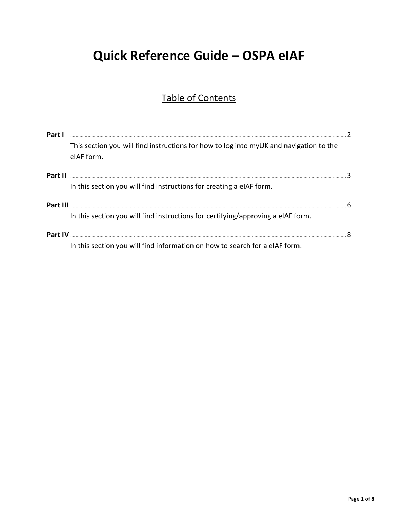# Quick Reference Guide - OSPA eIAF

# **Table of Contents**

| Part I   |                                                                                                      |  |
|----------|------------------------------------------------------------------------------------------------------|--|
|          | This section you will find instructions for how to log into myUK and navigation to the<br>eIAF form. |  |
| Part II  |                                                                                                      |  |
|          | In this section you will find instructions for creating a eIAF form.                                 |  |
| Part III |                                                                                                      |  |
|          | In this section you will find instructions for certifying/approving a eIAF form.                     |  |
| Part IV  |                                                                                                      |  |
|          | In this section you will find information on how to search for a eIAF form.                          |  |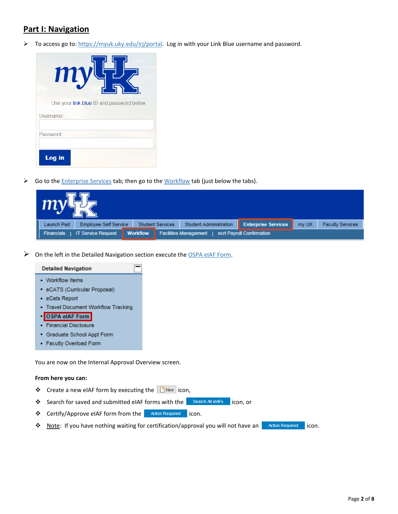## **Part I: Navigation**

 $\triangleright$  To access go to[: https://myuk.uky.edu/irj/portal.](https://myuk.uky.edu/irj/portal) Log in with your Link Blue username and password.

| $\boldsymbol{m}$                         |
|------------------------------------------|
| Use your link blue ID and password below |
| Username:                                |
| Password:                                |
| Log in                                   |

So to the *Enterprise Services* tab; then go to the *Workflow* tab (just below the tabs).

| my <sup>1</sup> |                              |                 |                         |                               |                            |       |                         |
|-----------------|------------------------------|-----------------|-------------------------|-------------------------------|----------------------------|-------|-------------------------|
| Launch Pad      | <b>Employee Self Service</b> |                 | <b>Student Services</b> | <b>Student Administration</b> | <b>Enterprise Services</b> | my UK | <b>Faculty Services</b> |
| Financials      | <b>IT Service Request</b>    | <b>Workflow</b> |                         | <b>Facilities Management</b>  | ecrt Payroll Confirmation  |       |                         |

 $\triangleright$  On the left in the Detailed Navigation section execute the OSPA eIAF Form.

#### **Detailed Navigation**

- **Workflow Items**
- eCATS (Curricular Proposal)
- eCats Report
- Travel Document Workflow Tracking
- OSPA eIAF Form
- · Financial Disclosure
- Graduate School Appt Form
- Faculty Overload Form

You are now on the Internal Approval Overview screen.

#### **From here you can:**

- ❖ Create a new eIAF form by executing the Finew icon,
- ❖ Search for saved and submitted eIAF forms with the Search All eIAFs licon, or
- ❖ Certify/Approve eIAF form from the **Action Required** icon.
- ◆ Note: If you have nothing waiting for certification/approval you will not have an **inally action Required** icon.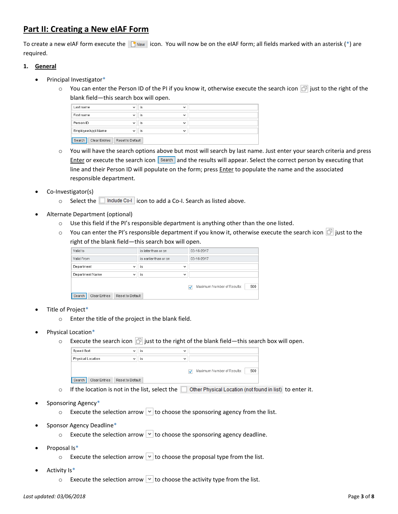# **Part II: Creating a New eIAF Form**

To create a new eIAF form execute the  $\Box$  New icon. You will now be on the eIAF form; all fields marked with an asterisk (\*) are required.

#### **1. General**

- Principal Investigator\*
	- $\circ$  You can enter the Person ID of the PI if you know it, otherwise execute the search icon  $\Box$  just to the right of the blank field—this search box will open.

| Last name               | is<br>$\checkmark$ | $\checkmark$ |  |
|-------------------------|--------------------|--------------|--|
| First name              | is<br>$\checkmark$ | $\checkmark$ |  |
| Person ID               | is<br>$\checkmark$ | $\checkmark$ |  |
| Employee/Appl.Name      | is<br>$\checkmark$ | $\checkmark$ |  |
| Search<br>Clear Entries | Reset to Default   |              |  |

- o You will have the search options above but most will search by last name. Just enter your search criteria and press Enter or execute the search icon Search and the results will appear. Select the correct person by executing that line and their Person ID will populate on the form; press *Enter* to populate the name and the associated responsible department.
- Co-Investigator(s)
	- $\circ$  Select the **include Co-I** icon to add a Co-I. Search as listed above.
- Alternate Department (optional)
	- $\circ$  Use this field if the PI's responsible department is anything other than the one listed.
	- $\circ$  You can enter the PI's responsible department if you know it, otherwise execute the search icon  $\Box$  just to the right of the blank field—this search box will open.

| Valid to                                    | is later than or on   | 03-16-2017                             |
|---------------------------------------------|-----------------------|----------------------------------------|
| Valid From                                  | is earlier than or on | 03-16-2017                             |
| Department<br>$\checkmark$                  | is<br>$\checkmark$    |                                        |
| Department Name<br>$\checkmark$             | is<br>$\checkmark$    |                                        |
|                                             |                       | 500<br>Maximum Number of Results:<br>ᢦ |
| Search<br>Clear Entries<br>Reset to Default |                       |                                        |

- Title of Project\*
	- o Enter the title of the project in the blank field.
- Physical Location\*
	- $\circ$  Execute the search icon  $\circ$  just to the right of the blank field—this search box will open.

| Speed Sort                     | $\overline{\phantom{a}}$ | 1S | $\checkmark$                           |
|--------------------------------|--------------------------|----|----------------------------------------|
| Physical Location              | $\checkmark$             | is | $\checkmark$                           |
|                                |                          |    | 500<br>Maximum Number of Results:<br>ᢦ |
| Search<br><b>Clear Entries</b> | Reset to Default         |    |                                        |
|                                |                          |    |                                        |

- $\circ$  If the location is not in the list, select the  $\Box$  Other Physical Location (not found in list) to enter it.
- Sponsoring Agency\*
	- $\circ$  Execute the selection arrow  $\vee$  to choose the sponsoring agency from the list.
- Sponsor Agency Deadline\*
	- $\circ$  Execute the selection arrow  $\vee$  to choose the sponsoring agency deadline.
- Proposal Is\*
	- $\circ$  Execute the selection arrow  $\vee$  to choose the proposal type from the list.
- Activity Is\*
	- $\circ$  Execute the selection arrow  $\vee$  to choose the activity type from the list.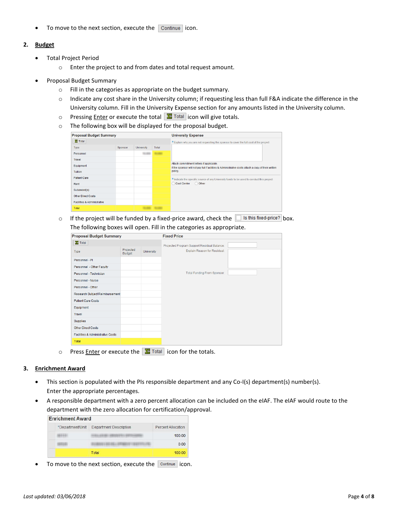$\bullet$  To move to the next section, execute the  $\boxed{\text{Continue}}$  icon.

#### **2. Budget**

- Total Project Period
	- o Enter the project to and from dates and total request amount.
- Proposal Budget Summary
	- o Fill in the categories as appropriate on the budget summary.
	- o Indicate any cost share in the University column; if requesting less than full F&A indicate the difference in the University column. Fill in the University Expense section for any amounts listed in the University column.
	- o Pressing **Enter or execute the total**  $\frac{1}{2}$  Total icon will give totals.
	- o The following box will be displayed for the proposal budget.

| <b>Proposal Budget Summary</b>         |         |            |       | <b>University Expense</b>                                                                                                                     |
|----------------------------------------|---------|------------|-------|-----------------------------------------------------------------------------------------------------------------------------------------------|
| $\Sigma$ Total                         |         |            |       | * Explain why you are not requesting the sponsor to cover the full cost of the project:                                                       |
| <b>Type</b>                            | Sponsor | University | Total |                                                                                                                                               |
| Personnel                              |         |            |       |                                                                                                                                               |
| Travel                                 |         |            |       |                                                                                                                                               |
| Equipment                              |         |            |       | Attach commitment letters if applicable.<br>If the sponsor will not pay full Facilities & Administrative costs attach a copy of their written |
| <b>Tuition</b>                         |         |            |       | policy.                                                                                                                                       |
| <b>Patient Care</b>                    |         |            |       | * Indicate the specific source of any University funds to be used to conduct this project:                                                    |
| Rent                                   |         |            |       | Cost Center<br><b>O</b> Other                                                                                                                 |
| Subaward(s)                            |         |            |       |                                                                                                                                               |
| <b>Other Direct Costs</b>              |         |            |       |                                                                                                                                               |
| <b>Facilities &amp; Administrative</b> |         |            |       |                                                                                                                                               |
| Total                                  |         |            |       |                                                                                                                                               |

o If the project will be funded by a fixed-price award, check the  $\Box$  Is this fixed-price? box. The following boxes will open. Fill in the categories as appropriate.

| <b>Proposal Budget Summary</b>               |                            |                   | <b>Fixed Price</b>                                                          |  |
|----------------------------------------------|----------------------------|-------------------|-----------------------------------------------------------------------------|--|
| $\Sigma$ Total<br>Type                       | Projected<br><b>Budget</b> | <b>University</b> | Projected Program Support Residual Balance:<br>Explain Reason for Residual: |  |
| Personnel - Pl                               |                            |                   |                                                                             |  |
| Personnel - Other Faculty                    |                            |                   |                                                                             |  |
| Personnel - Technician                       |                            |                   | <b>Total Funding From Sponsor:</b>                                          |  |
| Personnel - Nurse                            |                            |                   |                                                                             |  |
| Personnel - Other                            |                            |                   |                                                                             |  |
| Research Subject Reimbursement               |                            |                   |                                                                             |  |
| <b>Patient Care Costs</b>                    |                            |                   |                                                                             |  |
| Equipment                                    |                            |                   |                                                                             |  |
| Travel                                       |                            |                   |                                                                             |  |
| Supplies                                     |                            |                   |                                                                             |  |
| <b>Other Direct Costs</b>                    |                            |                   |                                                                             |  |
| <b>Facilities &amp; Administrative Costs</b> |                            |                   |                                                                             |  |
| Total                                        |                            |                   |                                                                             |  |

o Press Enter or execute the  $\sum$  Total icon for the totals.

#### **3. Enrichment Award**

- This section is populated with the PIs responsible department and any Co-I(s) department(s) number(s). Enter the appropriate percentages.
- A responsible department with a zero percent allocation can be included on the eIAF. The eIAF would route to the department with the zero allocation for certification/approval.

| <b>Enrichment Award</b> |                               |                           |
|-------------------------|-------------------------------|---------------------------|
| *Department/Unit        | <b>Department Description</b> | <b>Percent Allocation</b> |
|                         |                               | 100.00                    |
|                         |                               | 0.00                      |
|                         | Total                         | 100.00                    |

To move to the next section, execute the  $\sqrt{\frac{1}{n}}$  continue icon.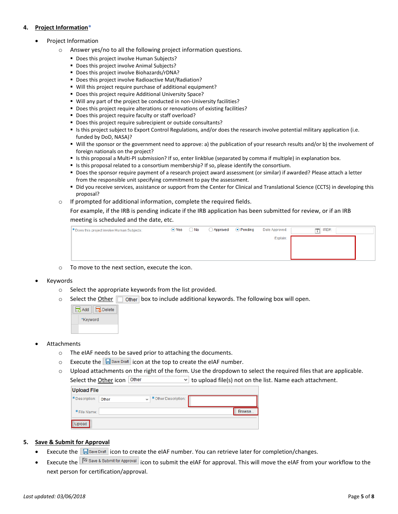#### **4. Project Information\***

- Project Information
	- o Answer yes/no to all the following project information questions.
		- Does this project involve Human Subjects?
		- Does this project involve Animal Subjects?
		- Does this project involve Biohazards/rDNA?
		- Does this project involve Radioactive Mat/Radiation?
		- Will this project require purchase of additional equipment?
		- **Does this project require Additional University Space?**
		- Will any part of the project be conducted in non-University facilities?
		- Does this project require alterations or renovations of existing facilities?
		- **Does this project require faculty or staff overload?**
		- Does this project require subrecipient or outside consultants?
		- Is this project subject to Export Control Regulations, and/or does the research involve potential military application (i.e. funded by DoD, NASA)?
		- Will the sponsor or the government need to approve: a) the publication of your research results and/or b) the involvement of foreign nationals on the project?
		- **If is this proposal a Multi-PI submission? If so, enter linkblue (separated by comma if multiple) in explanation box.**
		- If is this proposal related to a consortium membership? If so, please identify the consortium.
		- Does the sponsor require payment of a research project award assessment (or similar) if awarded? Please attach a letter from the responsible unit specifying commitment to pay the assessment.
		- Did you receive services, assistance or support from the Center for Clinical and Translational Science (CCTS) in developing this proposal?
	- o If prompted for additional information, complete the required fields.

For example, if the IRB is pending indicate if the IRB application has been submitted for review, or if an IRB meeting is scheduled and the date, etc.

| * Does this project involve Human Subjects: | $\bullet$ Yes | $\bigcirc$ No | Approved | ⊙ Pending | Date Approved: | IRB#:<br>m |
|---------------------------------------------|---------------|---------------|----------|-----------|----------------|------------|
|                                             |               |               |          |           | Explain:       |            |
|                                             |               |               |          |           |                |            |
|                                             |               |               |          |           |                |            |

- o To move to the next section, execute the icon.
- Keywords
	- o Select the appropriate keywords from the list provided.
	- $\circ$  Select the Other  $\Box$  Other box to include additional keywords. The following box will open.



- Attachments
	- o The eIAF needs to be saved prior to attaching the documents.
	- $\circ$  Execute the  $\Box$  Save Draft icon at the top to create the eIAF number.
	- $\circ$  Upload attachments on the right of the form. Use the dropdown to select the required files that are applicable.

Select the Other icon  $\circ$  other  $\bullet$  to upload file(s) not on the list. Name each attachment.

| *Description: | Other | * Other Description:<br>$\checkmark$ |        |
|---------------|-------|--------------------------------------|--------|
| *File Name:   |       |                                      | Browse |

#### **5. Save & Submit for Approval**

- Execute the  $\Box$  Save Draft icon to create the eIAF number. You can retrieve later for completion/changes.
- Execute the  $\sqrt{\frac{N}{N}}$  Save & Submit for Approval icon to submit the eIAF for approval. This will move the eIAF from your workflow to the next person for certification/approval.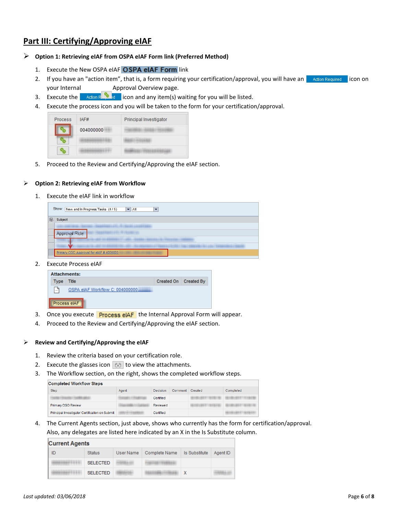## **Part III: Certifying/Approving eIAF**

- **Option 1: Retrieving eIAF from OSPA eIAF Form link (Preferred Method)**
	- 1. Execute the New OSPA eIAF OSPA eIAF Form link
	- 2. If you have an "action item", that is, a form requiring your certification/approval, you will have an **infollent and inconstant** icon on your Internal Approval Overview page.
	- 3. Execute the **interest in and any item(s)** waiting for you will be listed.
	- 4. Execute the process icon and you will be taken to the form for your certification/approval.

| Process | IAF#      | Principal Investigator |
|---------|-----------|------------------------|
|         | 004000000 |                        |
|         |           |                        |
|         |           |                        |

5. Proceed to the Review and Certifying/Approving the eIAF section.

#### **Option 2: Retrieving eIAF from Workflow**

1. Execute the eIAF link in workflow

| Show: New and In Progress Tasks (4/5)<br>$\blacktriangledown$ $\Vert$ All<br>▼ |                                                                                                                                                                     |  |  |  |  |  |  |
|--------------------------------------------------------------------------------|---------------------------------------------------------------------------------------------------------------------------------------------------------------------|--|--|--|--|--|--|
| 昆                                                                              | Subject                                                                                                                                                             |  |  |  |  |  |  |
|                                                                                | <b>ANGELING CO. STANDARD ANGELES</b><br><b>COMMERCIAL</b><br><b>HARRISON</b>                                                                                        |  |  |  |  |  |  |
|                                                                                | <b>REGISTERED EXPLORES</b><br>Approval Role                                                                                                                         |  |  |  |  |  |  |
|                                                                                | <b>CARD THE SHARRING FOR 1 SHAR</b><br><b>CALLENDARY CALL CARDINAL</b><br>--------                                                                                  |  |  |  |  |  |  |
|                                                                                | <b>CARD THE MANUFACTURE</b><br>THE R. P. LEWIS CO., LANSING, MICH. 49-14039-1-120-2<br><b>ARRESTS CRESCING CONTRACTOR</b><br><b>STATISTICS</b><br><b>STATISTICS</b> |  |  |  |  |  |  |
|                                                                                | Primary CGO Approval for eIAF #4000000                                                                                                                              |  |  |  |  |  |  |

2. Execute Process eIAF



- 3. Once you execute **Process eIAF** the Internal Approval Form will appear.
- 4. Proceed to the Review and Certifying/Approving the eIAF section.

#### **Review and Certifying/Approving the eIAF**

- 1. Review the criteria based on your certification role.
- 2. Execute the glasses icon  $\overline{6a}$  to view the attachments.
- 3. The Workflow section, on the right, shows the completed workflow steps.

| <b>Completed Workflow Steps</b>                                                                                 |       |           |         |                           |                   |  |  |
|-----------------------------------------------------------------------------------------------------------------|-------|-----------|---------|---------------------------|-------------------|--|--|
| <b>Step</b>                                                                                                     | Agent | Decision  | Comment | Created                   | Completed         |  |  |
| 1-44 03 5 5 4 6 6 1 - 1 - 1 2 5 6 6 8 1 1 - 1 - 1 2 6 6 8 8 1 1 - 1 - 1 2 6 8 8 8 1 1 - 1 - 1 2 6 8 8 8 8 1 - 1 |       | Certified |         | <b>CARD ATT GUIDELINE</b> |                   |  |  |
| <b>Primary CGO Review</b>                                                                                       |       | Reviewed  |         |                           |                   |  |  |
| Principal Investigator Certification on Submit                                                                  |       | Certified |         |                           | <b>CONTRACTOR</b> |  |  |

4. The Current Agents section, just above, shows who currently has the form for certification/approval. Also, any delegates are listed here indicated by an X in the Is Substitute column.

| <b>Current Agents</b> |                 |           |               |                      |          |  |  |
|-----------------------|-----------------|-----------|---------------|----------------------|----------|--|--|
| ID                    | <b>Status</b>   | User Name | Complete Name | <b>Is Substitute</b> | Agent ID |  |  |
|                       | <b>SELECTED</b> |           |               |                      |          |  |  |
|                       | <b>SELECTED</b> |           |               |                      |          |  |  |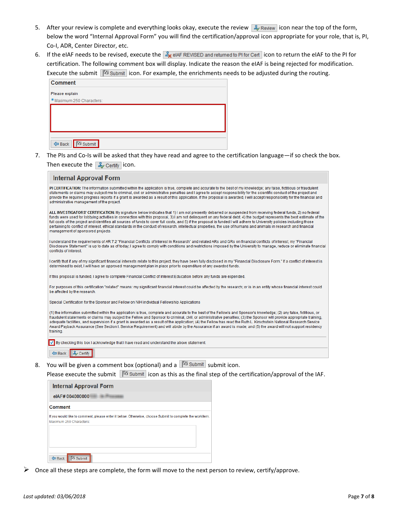- 5. After your review is complete and everything looks okay, execute the review  $\mathcal{L}_{\mathbf{z}}$  Review icon near the top of the form, below the word "Internal Approval Form" you will find the certification/approval icon appropriate for your role, that is, PI, Co-I, ADR, Center Director, etc.
- 6. If the eIAF needs to be revised, execute the  $\frac{1}{26}$  eIAF REVISED and returned to PI for Cert icon to return the eIAF to the PI for certification. The following comment box will display. Indicate the reason the eIAF is being rejected for modification. Execute the submit  $\mathbb{R}^3$  submit icon. For example, the enrichments needs to be adjusted during the routing.

| <b>Comment</b>                            |  |
|-------------------------------------------|--|
| Please explain                            |  |
| * Maximum 250 Characters:                 |  |
|                                           |  |
|                                           |  |
|                                           |  |
|                                           |  |
| <b>R</b> Submit<br>$\Leftrightarrow$ Back |  |

7. The PIs and Co-Is will be asked that they have read and agree to the certification language—if so check the box. Then execute the  $\frac{2}{\sqrt{2}}$  Certify icon.

| <b>Internal Approval Form</b>                                                                                                                                                                                                                                                                                                                                                                                                                                                                                                                                                                                                                                                                                                 |
|-------------------------------------------------------------------------------------------------------------------------------------------------------------------------------------------------------------------------------------------------------------------------------------------------------------------------------------------------------------------------------------------------------------------------------------------------------------------------------------------------------------------------------------------------------------------------------------------------------------------------------------------------------------------------------------------------------------------------------|
| PI CERTIFICATION: The information submitted within the application is true, complete and accurate to the best of my knowledge; any false, fictitious or fraudulent<br>statements or claims may subject me to criminal, civil or administrative penalties and I agree to accept responsibility for the scientific conduct of the project and<br>provide the required progress reports if a grant is awarded as a result of this application. If the proposal is awarded, I will accept responsibility for the financial and<br>administrative management of the project.                                                                                                                                                       |
| ALL INVESTIGATORS' CERTIFICATION: My signature below indicates that 1) I am not presently debarred or suspended from receiving federal funds, 2) no federal<br>funds were used for lobbying activities in connection with this proposal, 3) I am not delinguent on any federal debt, 4) the budget represents the best estimate of the<br>full costs of the project and identifies all sources of funds to cover full costs, and 5) if the proposal is funded I will adhere to University policies including those<br>pertaining to conflict of interest, ethical standards in the conduct of research, intellectual properties, the use of humans and animals in research and financial<br>management of sponsored projects. |
| I understand the requirements of AR 7:2 "Financial Conflicts of Interest in Research" and related ARs and GRs on financial conflicts of interest; my "Financial<br>Disclosure Statement" is up to date as of today; I agree to comply with conditions and restrictions imposed by the University to manage, reduce or eliminate financial<br>conflicts of interest.                                                                                                                                                                                                                                                                                                                                                           |
| I certify that if any of my significant financial interests relate to this project, they have been fully disclosed in my "Financial Disclosure Form." If a conflict of interest is<br>determined to exist, I will have an approved management plan in place prior to expenditure of any awarded funds.                                                                                                                                                                                                                                                                                                                                                                                                                        |
| If this proposal is funded, I agree to complete Financial Conflict of Interest Education before any funds are expended.                                                                                                                                                                                                                                                                                                                                                                                                                                                                                                                                                                                                       |
| For purposes of this certification "related" means: my significant financial interest could be affected by the research; or is in an entity whose financial interest could<br>be affected by the research.                                                                                                                                                                                                                                                                                                                                                                                                                                                                                                                    |
| Special Certification for the Sponsor and Fellow on NIH individual Fellowship Applications                                                                                                                                                                                                                                                                                                                                                                                                                                                                                                                                                                                                                                    |
| (1) the information submitted within the application is true, complete and accurate to the best of the Fellow's and Sponsor's knowledge: (2) any false, fictitious, or<br>fraudulent statements or claims may subject the Fellow and Sponsor to criminal, civil, or administrative penalties; (3) the Sponsor will provide appropriate training,<br>adequate facilities, and supervision if a grant is awarded as a result of the application; (4) the Fellow has read the Ruth L. Kirschstein National Research Service<br>Award Payback Assurance (See Section I. Service Requirement) and will abide by the Assurance if an award is made; and (5) the award will not support residency<br>training.                       |
| By checking this box I acknowledge that I have read and understand the above statement.                                                                                                                                                                                                                                                                                                                                                                                                                                                                                                                                                                                                                                       |
| <≡ Back                                                                                                                                                                                                                                                                                                                                                                                                                                                                                                                                                                                                                                                                                                                       |
| 1500 Block of the                                                                                                                                                                                                                                                                                                                                                                                                                                                                                                                                                                                                                                                                                                             |

8. You will be given a comment box (optional) and a  $\mathbb{P}^3$  Submit submit icon.

Please execute the submit  $\mathbb{R}^3$  submit icon as this as the final step of the certification/approval of the IAF.

| Internal Approval Form                                                                                                             |  |
|------------------------------------------------------------------------------------------------------------------------------------|--|
| eIAF# 004000000                                                                                                                    |  |
| Comment                                                                                                                            |  |
| If you would like to comment, please enter it below. Otherwise, choose Submit to complete the workitem.<br>Maximum 250 Characters: |  |
| Submit<br><b>E</b> Back                                                                                                            |  |

 $\triangleright$  Once all these steps are complete, the form will move to the next person to review, certify/approve.